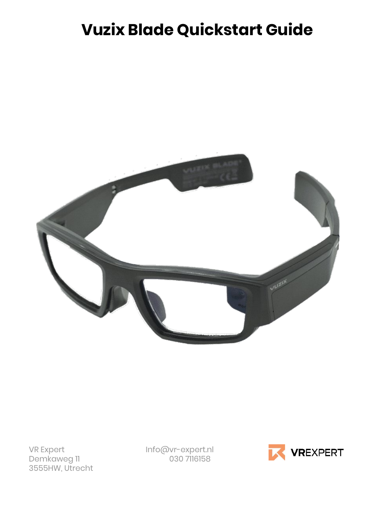# **Vuzix Blade Quickstart Guide**



3555HW, Utrecht

VR Expert Info@vr-expert.nl<br>Demkaweg 11 030 7116158 Demkaweg 11 030 7116158

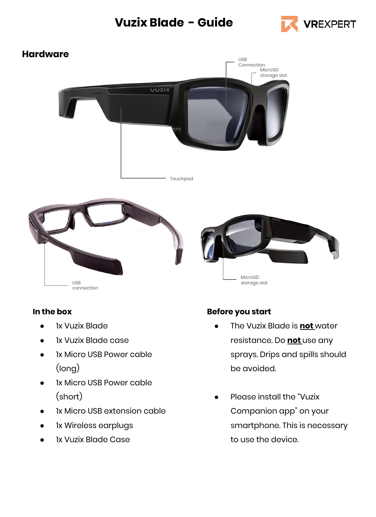### **Vuzix Blade - Guide**





#### **In the box**

- **1x Vuzix Blade**
- **1x Vuzix Blade case**
- 1x Micro USB Power cable (long)
- 1x Micro USB Power cable (short)
- 1x Micro USB extension cable
- 1x Wireless earplugs
- 1x Vuzix Blade Case

#### **Before you start**

- The Vuzix Blade is **not** water resistance. Do **not** use any sprays. Drips and spills should be avoided.
- Please install the "Vuzix" Companion app" on your smartphone. This is necessary to use the device.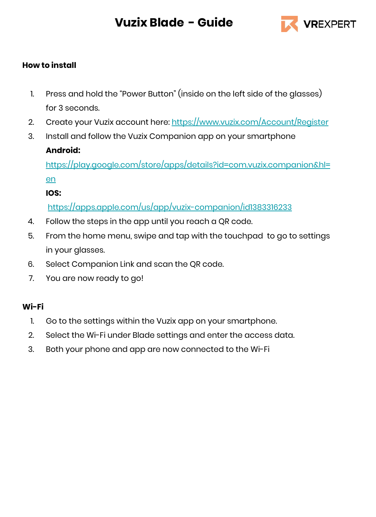## **Vuzix Blade - Guide**



#### **How to install**

- 1. Press and hold the "Power Button" (inside on the left side of the glasses) for 3 seconds.
- 2. Create your Vuzix account here:<https://www.vuzix.com/Account/Register>
- 3. Install and follow the Vuzix Companion app on your smartphone

#### **Android:**

[https://play.google.com/store/apps/details?id=com.vuzix.companion&hl=](https://play.google.com/store/apps/details?id=com.vuzix.companion&hl=en) [en](https://play.google.com/store/apps/details?id=com.vuzix.companion&hl=en)

#### **IOS:**

#### <https://apps.apple.com/us/app/vuzix-companion/id1383316233>

- 4. Follow the steps in the app until you reach a QR code.
- 5. From the home menu, swipe and tap with the touchpad to go to settings in your glasses.
- 6. Select Companion Link and scan the QR code.
- 7. You are now ready to go!

#### **Wi-Fi**

- 1. Go to the settings within the Vuzix app on your smartphone.
- 2. Select the Wi-Fi under Blade settings and enter the access data.
- 3. Both your phone and app are now connected to the Wi-Fi